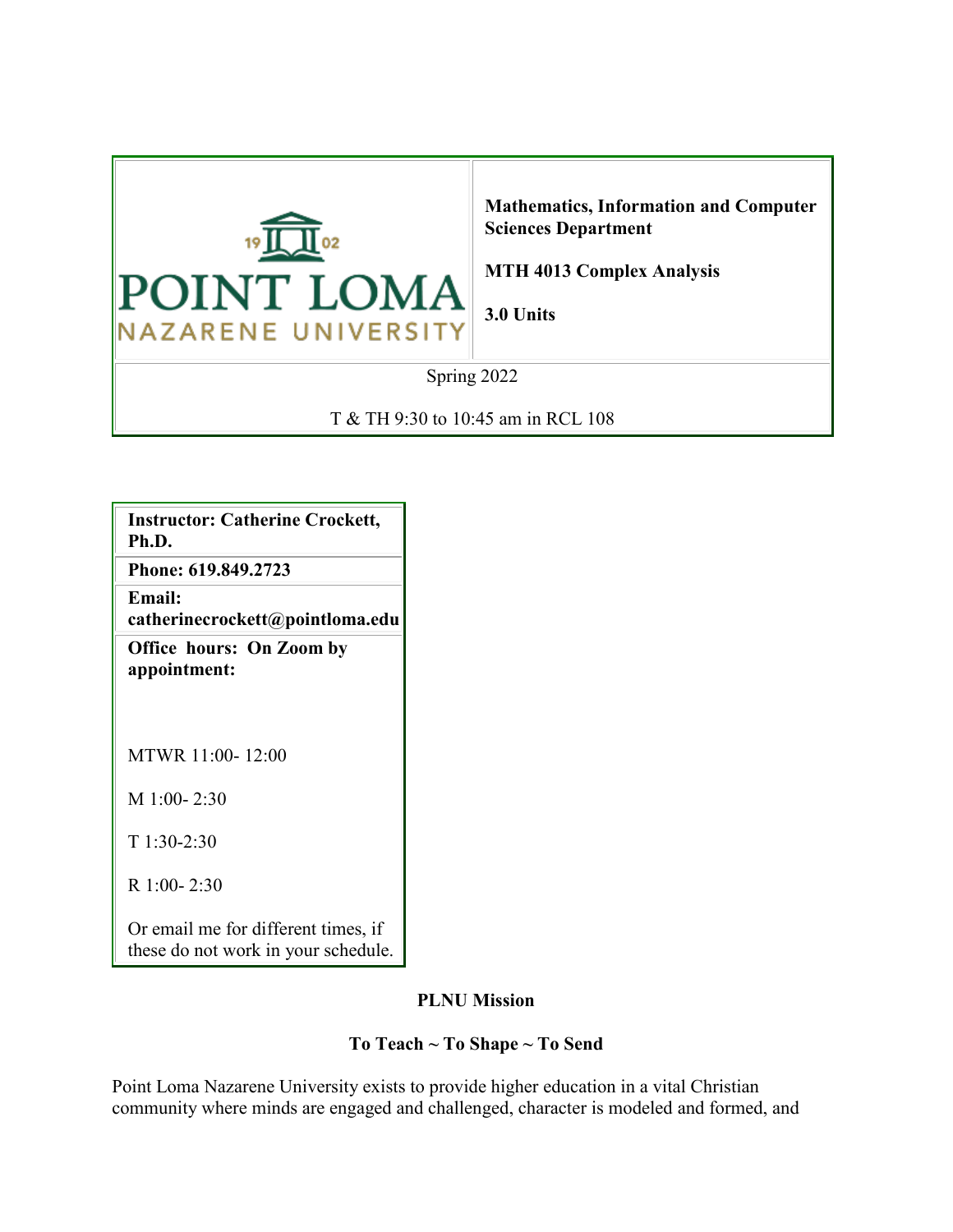

**Mathematics, Information and Computer Sciences Department**

**MTH 4013 Complex Analysis**

**3.0 Units**

Spring 2022

T & TH 9:30 to 10:45 am in RCL 108

**Instructor: Catherine Crockett, Ph.D.**

**Phone: 619.849.2723**

**Email: catherinecrockett@pointloma.edu**

**Office hours: On Zoom by appointment:**

MTWR 11:00- 12:00

M 1:00- 2:30

T 1:30-2:30

R 1:00- 2:30

Or email me for different times, if these do not work in your schedule.

#### **PLNU Mission**

#### **To Teach ~ To Shape ~ To Send**

Point Loma Nazarene University exists to provide higher education in a vital Christian community where minds are engaged and challenged, character is modeled and formed, and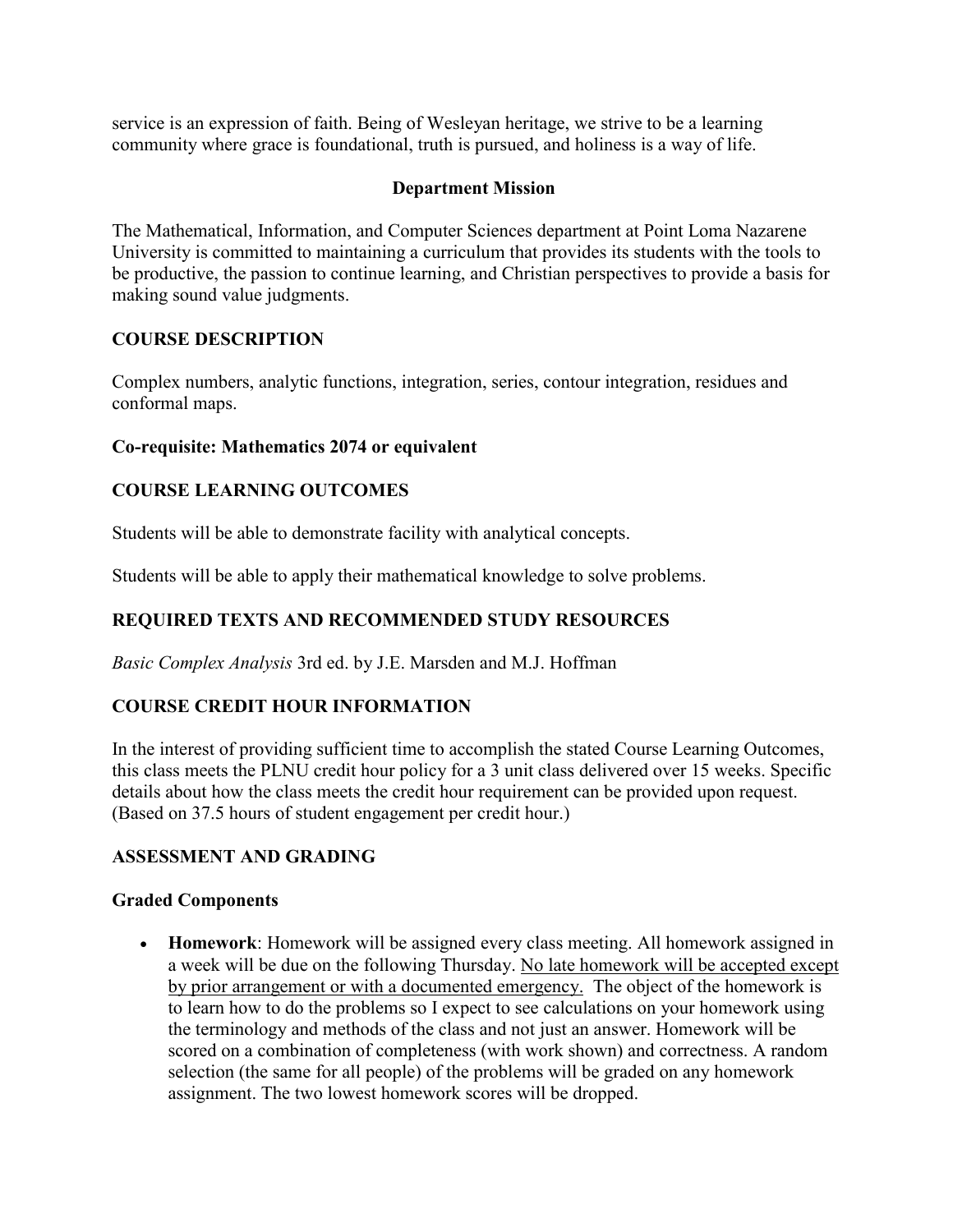service is an expression of faith. Being of Wesleyan heritage, we strive to be a learning community where grace is foundational, truth is pursued, and holiness is a way of life.

### **Department Mission**

The Mathematical, Information, and Computer Sciences department at Point Loma Nazarene University is committed to maintaining a curriculum that provides its students with the tools to be productive, the passion to continue learning, and Christian perspectives to provide a basis for making sound value judgments.

## **COURSE DESCRIPTION**

Complex numbers, analytic functions, integration, series, contour integration, residues and conformal maps.

#### **Co-requisite: Mathematics 2074 or equivalent**

## **COURSE LEARNING OUTCOMES**

Students will be able to demonstrate facility with analytical concepts.

Students will be able to apply their mathematical knowledge to solve problems.

# **REQUIRED TEXTS AND RECOMMENDED STUDY RESOURCES**

*Basic Complex Analysis* 3rd ed. by J.E. Marsden and M.J. Hoffman

# **COURSE CREDIT HOUR INFORMATION**

In the interest of providing sufficient time to accomplish the stated Course Learning Outcomes, this class meets the PLNU credit hour policy for a 3 unit class delivered over 15 weeks. Specific details about how the class meets the credit hour requirement can be provided upon request. (Based on 37.5 hours of student engagement per credit hour.)

#### **ASSESSMENT AND GRADING**

#### **Graded Components**

• **Homework**: Homework will be assigned every class meeting. All homework assigned in a week will be due on the following Thursday. No late homework will be accepted except by prior arrangement or with a documented emergency. The object of the homework is to learn how to do the problems so I expect to see calculations on your homework using the terminology and methods of the class and not just an answer. Homework will be scored on a combination of completeness (with work shown) and correctness. A random selection (the same for all people) of the problems will be graded on any homework assignment. The two lowest homework scores will be dropped.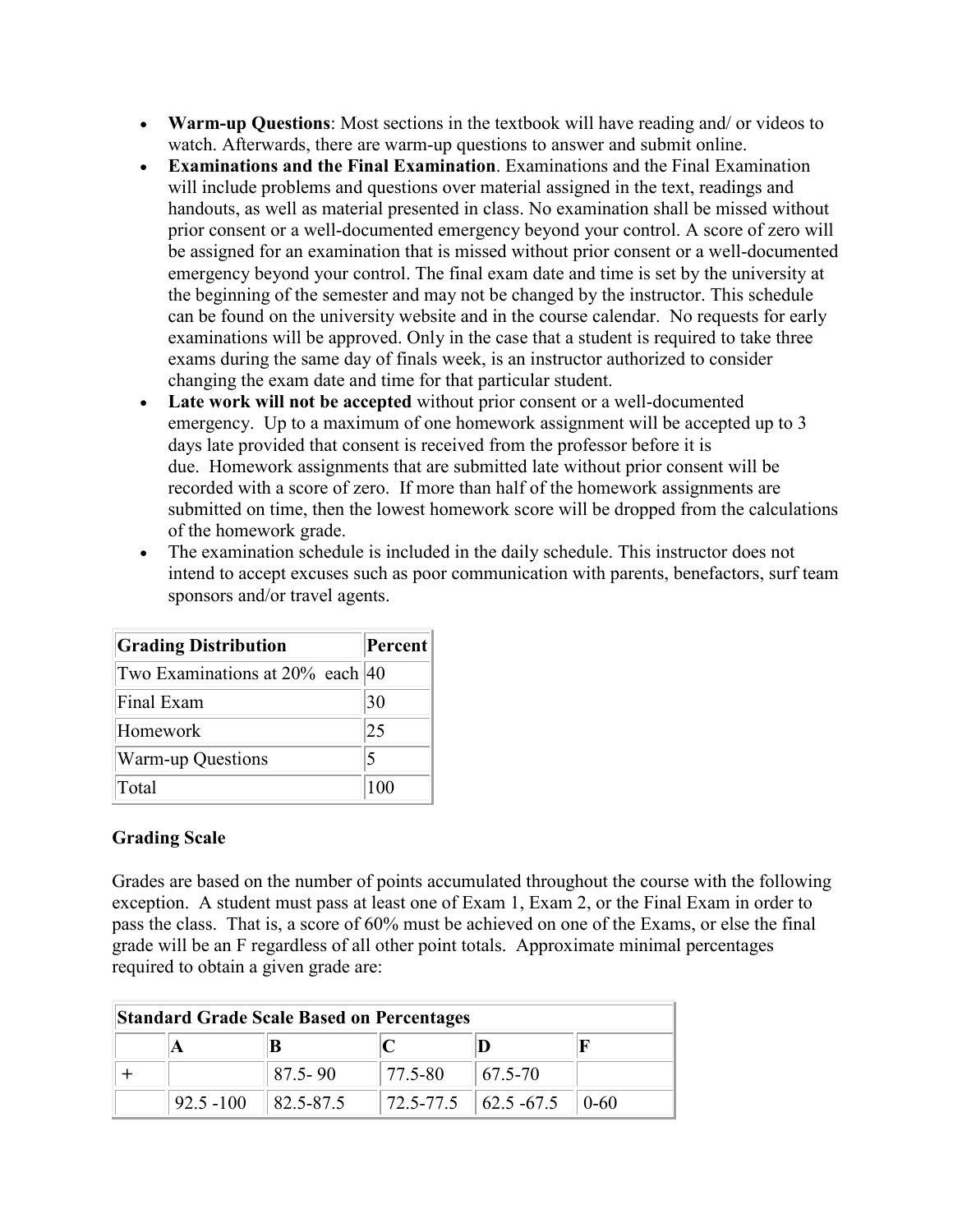- **Warm-up Questions**: Most sections in the textbook will have reading and/ or videos to watch. Afterwards, there are warm-up questions to answer and submit online.
- **Examinations and the Final Examination**. Examinations and the Final Examination will include problems and questions over material assigned in the text, readings and handouts, as well as material presented in class. No examination shall be missed without prior consent or a well-documented emergency beyond your control. A score of zero will be assigned for an examination that is missed without prior consent or a well-documented emergency beyond your control. The final exam date and time is set by the university at the beginning of the semester and may not be changed by the instructor. This schedule can be found on the university website and in the course calendar. No requests for early examinations will be approved. Only in the case that a student is required to take three exams during the same day of finals week, is an instructor authorized to consider changing the exam date and time for that particular student.
- **Late work will not be accepted** without prior consent or a well-documented emergency. Up to a maximum of one homework assignment will be accepted up to 3 days late provided that consent is received from the professor before it is due. Homework assignments that are submitted late without prior consent will be recorded with a score of zero. If more than half of the homework assignments are submitted on time, then the lowest homework score will be dropped from the calculations of the homework grade.
- The examination schedule is included in the daily schedule. This instructor does not intend to accept excuses such as poor communication with parents, benefactors, surf team sponsors and/or travel agents.

| <b>Grading Distribution</b>        | Percent         |
|------------------------------------|-----------------|
| Two Examinations at $20\%$ each 40 |                 |
| Final Exam                         | 30              |
| Homework                           | $\overline{25}$ |
| <b>Warm-up Questions</b>           | 5               |
| Total                              | 100             |

#### **Grading Scale**

Grades are based on the number of points accumulated throughout the course with the following exception. A student must pass at least one of Exam 1, Exam 2, or the Final Exam in order to pass the class. That is, a score of 60% must be achieved on one of the Exams, or else the final grade will be an F regardless of all other point totals. Approximate minimal percentages required to obtain a given grade are:

| <b>Standard Grade Scale Based on Percentages</b> |              |                       |                                 |                                                         |          |
|--------------------------------------------------|--------------|-----------------------|---------------------------------|---------------------------------------------------------|----------|
|                                                  |              |                       |                                 |                                                         |          |
|                                                  |              | $87.5 - 90$           | $\parallel$ 77.5-80 $\parallel$ | $ 67.5-70 $                                             |          |
|                                                  | $92.5 - 100$ | $\parallel$ 82.5-87.5 |                                 | $\parallel$ 72.5-77.5 $\parallel$ 62.5-67.5 $\parallel$ | $(0-60)$ |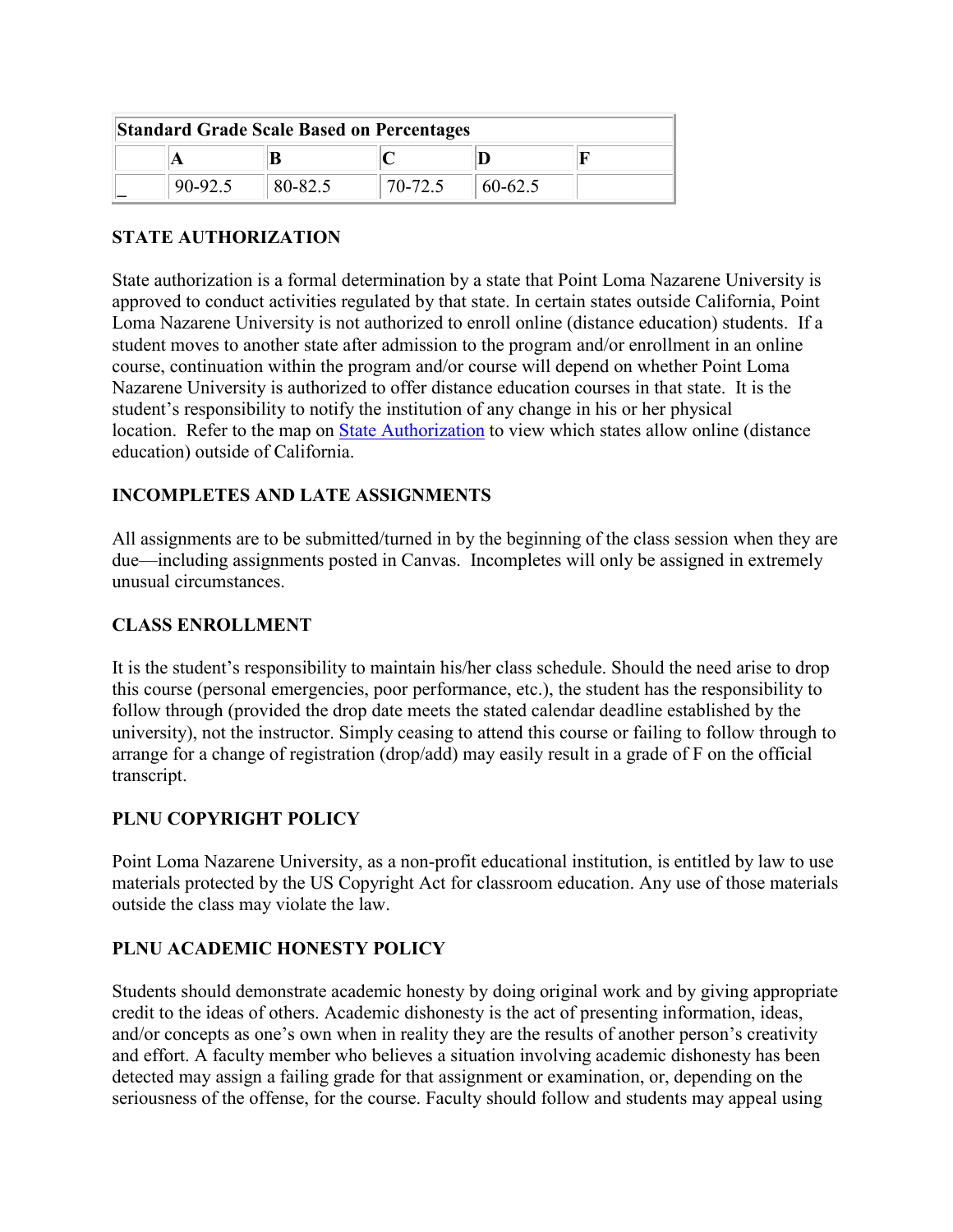| <b>Standard Grade Scale Based on Percentages</b> |         |         |         |         |  |
|--------------------------------------------------|---------|---------|---------|---------|--|
|                                                  |         |         |         |         |  |
|                                                  | 90-92.5 | 80-82.5 | 70-72.5 | 60-62.5 |  |

#### **STATE AUTHORIZATION**

State authorization is a formal determination by a state that Point Loma Nazarene University is approved to conduct activities regulated by that state. In certain states outside California, Point Loma Nazarene University is not authorized to enroll online (distance education) students. If a student moves to another state after admission to the program and/or enrollment in an online course, continuation within the program and/or course will depend on whether Point Loma Nazarene University is authorized to offer distance education courses in that state. It is the student's responsibility to notify the institution of any change in his or her physical location. Refer to the map on [State Authorization](https://www.pointloma.edu/offices/office-institutional-effectiveness-research/disclosures) to view which states allow online (distance education) outside of California.

#### **INCOMPLETES AND LATE ASSIGNMENTS**

All assignments are to be submitted/turned in by the beginning of the class session when they are due—including assignments posted in Canvas. Incompletes will only be assigned in extremely unusual circumstances.

#### **CLASS ENROLLMENT**

It is the student's responsibility to maintain his/her class schedule. Should the need arise to drop this course (personal emergencies, poor performance, etc.), the student has the responsibility to follow through (provided the drop date meets the stated calendar deadline established by the university), not the instructor. Simply ceasing to attend this course or failing to follow through to arrange for a change of registration (drop/add) may easily result in a grade of F on the official transcript.

#### **PLNU COPYRIGHT POLICY**

Point Loma Nazarene University, as a non-profit educational institution, is entitled by law to use materials protected by the US Copyright Act for classroom education. Any use of those materials outside the class may violate the law.

#### **PLNU ACADEMIC HONESTY POLICY**

Students should demonstrate academic honesty by doing original work and by giving appropriate credit to the ideas of others. Academic dishonesty is the act of presenting information, ideas, and/or concepts as one's own when in reality they are the results of another person's creativity and effort. A faculty member who believes a situation involving academic dishonesty has been detected may assign a failing grade for that assignment or examination, or, depending on the seriousness of the offense, for the course. Faculty should follow and students may appeal using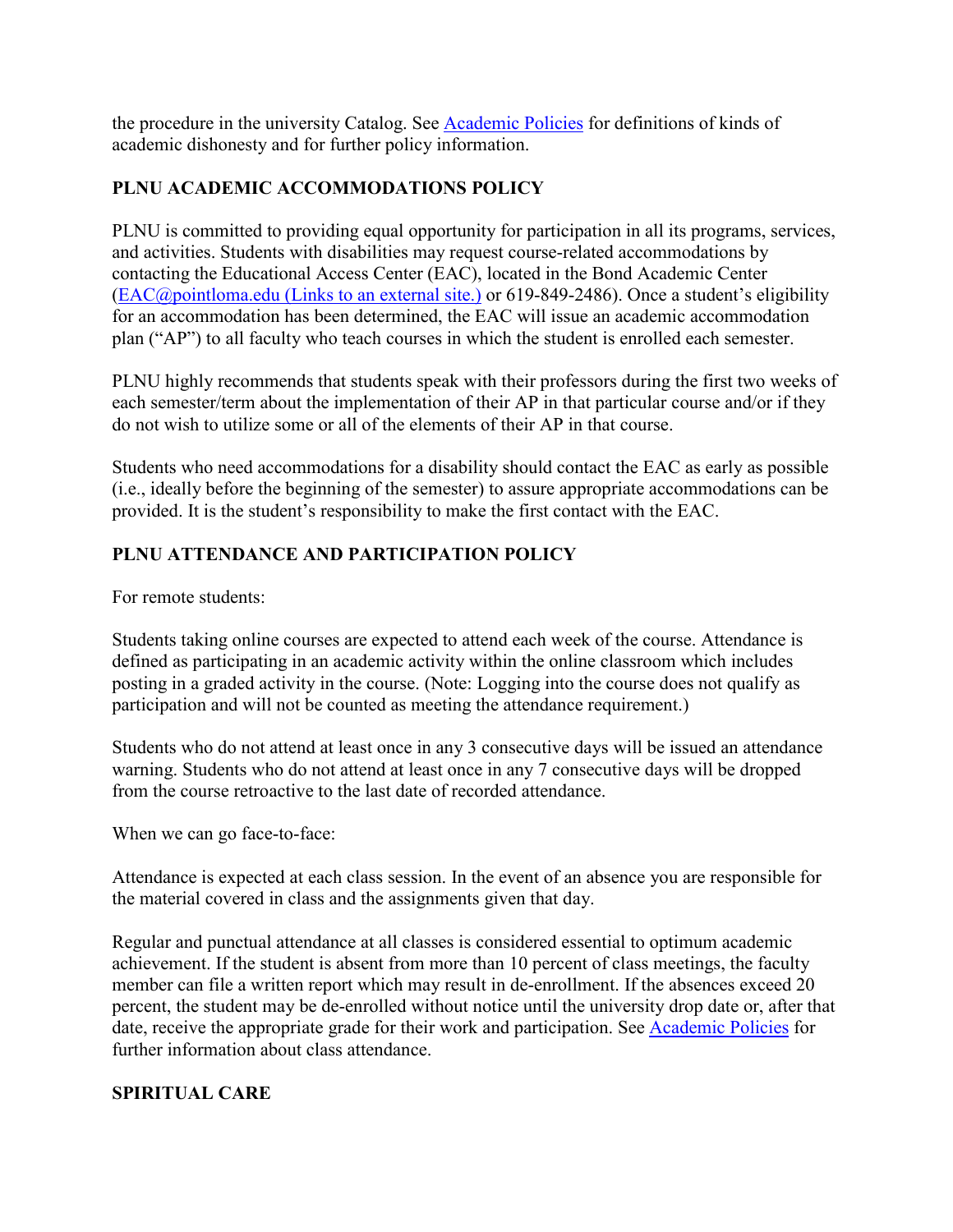the procedure in the university Catalog. See [Academic Policies](http://catalog.pointloma.edu/content.php?catoid=18&navoid=1278) for definitions of kinds of academic dishonesty and for further policy information.

## **PLNU ACADEMIC ACCOMMODATIONS POLICY**

PLNU is committed to providing equal opportunity for participation in all its programs, services, and activities. Students with disabilities may request course-related accommodations by contacting the Educational Access Center (EAC), located in the Bond Academic Center (EAC@pointloma.edu [\(Links to an external site.\)](https://mail.google.com/mail/?view=cm&fs=1&tf=1&to=EAC@pointloma.edu) or 619-849-2486). Once a student's eligibility for an accommodation has been determined, the EAC will issue an academic accommodation plan ("AP") to all faculty who teach courses in which the student is enrolled each semester.

PLNU highly recommends that students speak with their professors during the first two weeks of each semester/term about the implementation of their AP in that particular course and/or if they do not wish to utilize some or all of the elements of their AP in that course.

Students who need accommodations for a disability should contact the EAC as early as possible (i.e., ideally before the beginning of the semester) to assure appropriate accommodations can be provided. It is the student's responsibility to make the first contact with the EAC.

# **PLNU ATTENDANCE AND PARTICIPATION POLICY**

For remote students:

Students taking online courses are expected to attend each week of the course. Attendance is defined as participating in an academic activity within the online classroom which includes posting in a graded activity in the course. (Note: Logging into the course does not qualify as participation and will not be counted as meeting the attendance requirement.)

Students who do not attend at least once in any 3 consecutive days will be issued an attendance warning. Students who do not attend at least once in any 7 consecutive days will be dropped from the course retroactive to the last date of recorded attendance.

When we can go face-to-face:

Attendance is expected at each class session. In the event of an absence you are responsible for the material covered in class and the assignments given that day.

Regular and punctual attendance at all classes is considered essential to optimum academic achievement. If the student is absent from more than 10 percent of class meetings, the faculty member can file a written report which may result in de-enrollment. If the absences exceed 20 percent, the student may be de-enrolled without notice until the university drop date or, after that date, receive the appropriate grade for their work and participation. See [Academic Policies](http://catalog.pointloma.edu/content.php?catoid=18&navoid=1278) for further information about class attendance.

#### **SPIRITUAL CARE**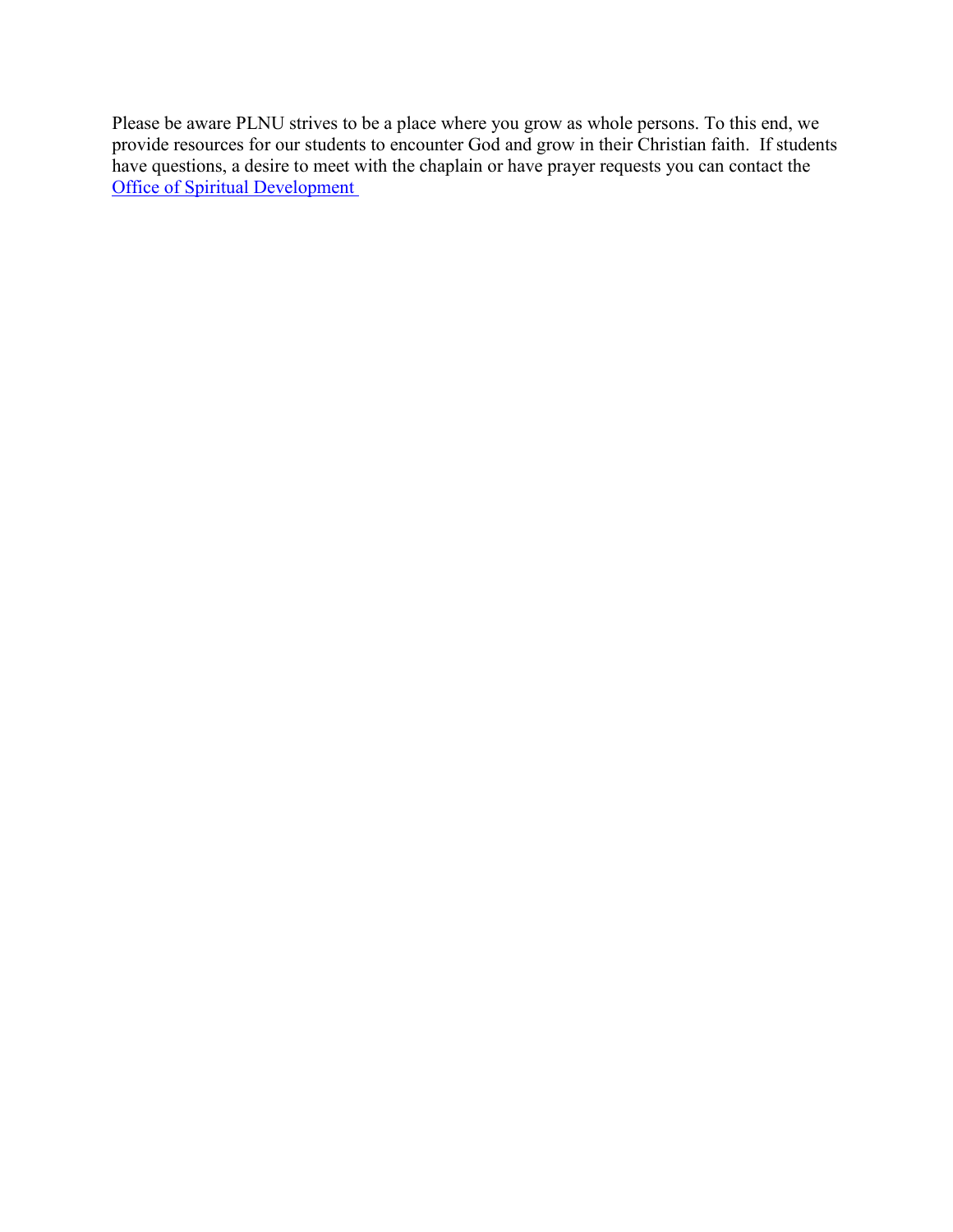Please be aware PLNU strives to be a place where you grow as whole persons. To this end, we provide resources for our students to encounter God and grow in their Christian faith. If students have questions, a desire to meet with the chaplain or have prayer requests you can contact the **[Office of Spiritual Development](https://www.pointloma.edu/offices/spiritual-development)**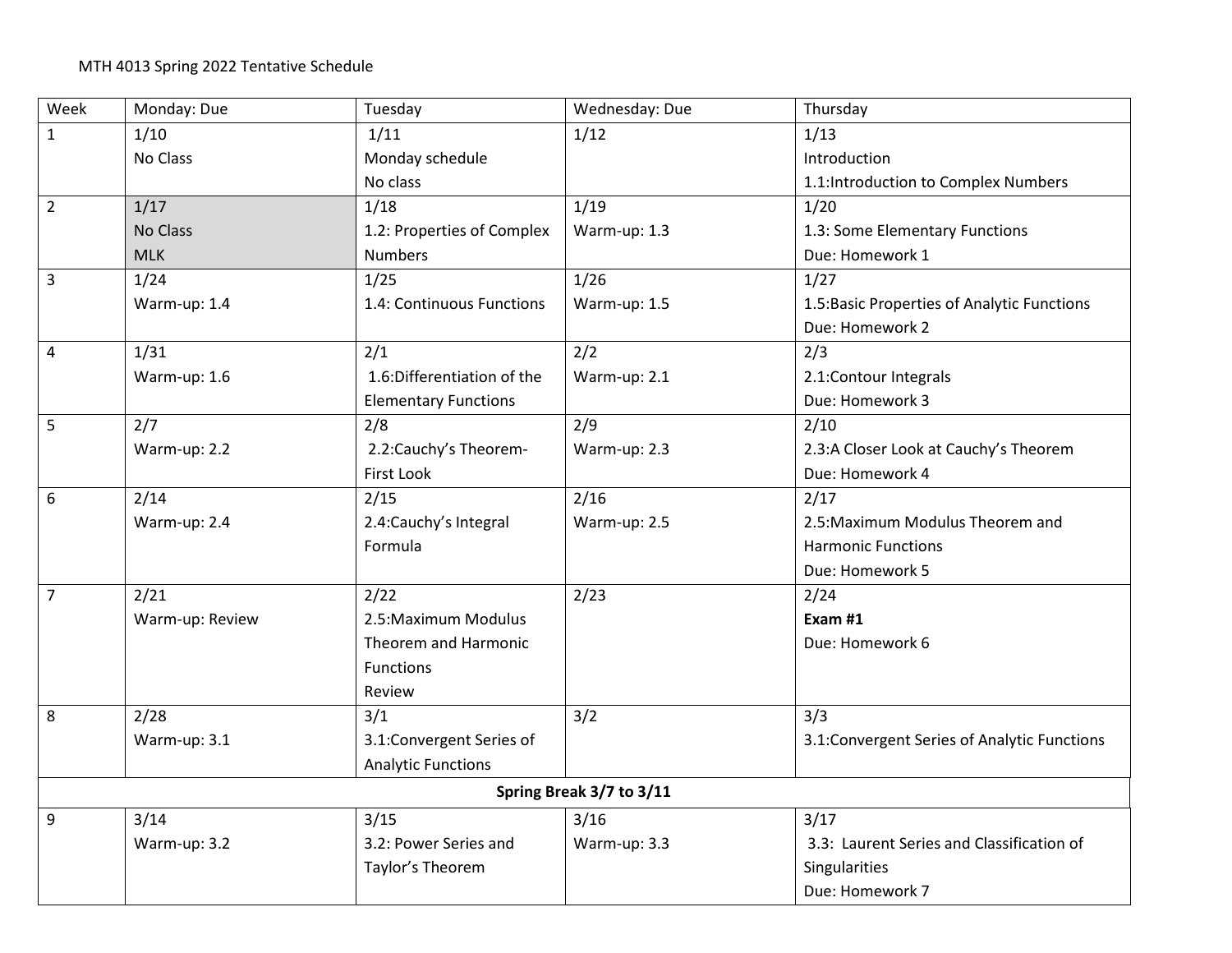| Week                     | Monday: Due     | Tuesday                     | Wednesday: Due | Thursday                                     |  |
|--------------------------|-----------------|-----------------------------|----------------|----------------------------------------------|--|
| $\mathbf{1}$             | 1/10            | 1/11                        | 1/12           | 1/13                                         |  |
|                          | No Class        | Monday schedule             |                | Introduction                                 |  |
|                          |                 | No class                    |                | 1.1:Introduction to Complex Numbers          |  |
| $\overline{2}$           | 1/17            | 1/18                        | 1/19           | 1/20                                         |  |
|                          | No Class        | 1.2: Properties of Complex  | Warm-up: 1.3   | 1.3: Some Elementary Functions               |  |
|                          | <b>MLK</b>      | <b>Numbers</b>              |                | Due: Homework 1                              |  |
| 3                        | 1/24            | 1/25                        | 1/26           | 1/27                                         |  |
|                          | Warm-up: 1.4    | 1.4: Continuous Functions   | Warm-up: 1.5   | 1.5: Basic Properties of Analytic Functions  |  |
|                          |                 |                             |                | Due: Homework 2                              |  |
| 4                        | 1/31            | 2/1                         | 2/2            | 2/3                                          |  |
|                          | Warm-up: 1.6    | 1.6:Differentiation of the  | Warm-up: 2.1   | 2.1:Contour Integrals                        |  |
|                          |                 | <b>Elementary Functions</b> |                | Due: Homework 3                              |  |
| 5                        | 2/7             | 2/8                         | 2/9            | 2/10                                         |  |
|                          | Warm-up: 2.2    | 2.2: Cauchy's Theorem-      | Warm-up: 2.3   | 2.3:A Closer Look at Cauchy's Theorem        |  |
|                          |                 | First Look                  |                | Due: Homework 4                              |  |
| 6                        | 2/14            | 2/15                        | 2/16           | 2/17                                         |  |
|                          | Warm-up: 2.4    | 2.4: Cauchy's Integral      | Warm-up: 2.5   | 2.5: Maximum Modulus Theorem and             |  |
|                          |                 | Formula                     |                | <b>Harmonic Functions</b>                    |  |
|                          |                 |                             |                | Due: Homework 5                              |  |
| $\overline{7}$           | 2/21            | 2/22                        | 2/23           | 2/24                                         |  |
|                          | Warm-up: Review | 2.5: Maximum Modulus        |                | Exam #1                                      |  |
|                          |                 | Theorem and Harmonic        |                | Due: Homework 6                              |  |
|                          |                 | <b>Functions</b>            |                |                                              |  |
|                          |                 | Review                      |                |                                              |  |
| 8                        | 2/28            | 3/1                         | 3/2            | 3/3                                          |  |
|                          | Warm-up: 3.1    | 3.1:Convergent Series of    |                | 3.1: Convergent Series of Analytic Functions |  |
|                          |                 | <b>Analytic Functions</b>   |                |                                              |  |
| Spring Break 3/7 to 3/11 |                 |                             |                |                                              |  |
| 9                        | 3/14            | 3/15                        | 3/16           | 3/17                                         |  |
|                          | Warm-up: 3.2    | 3.2: Power Series and       | Warm-up: 3.3   | 3.3: Laurent Series and Classification of    |  |
|                          |                 | Taylor's Theorem            |                | Singularities                                |  |
|                          |                 |                             |                | Due: Homework 7                              |  |